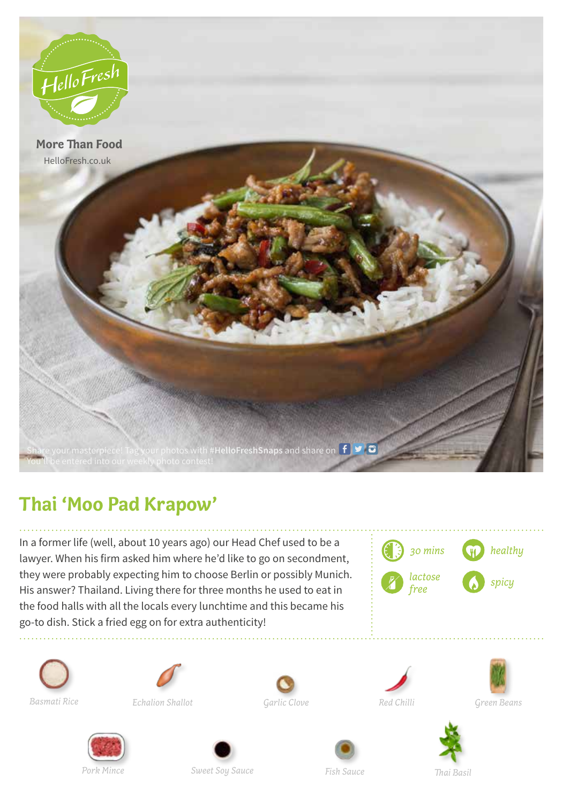

## **Thai 'Moo Pad Krapow'**

In a former life (well, about 10 years ago) our Head Chef used to be a lawyer. When his firm asked him where he'd like to go on secondment, they were probably expecting him to choose Berlin or possibly Munich. His answer? Thailand. Living there for three months he used to eat in the food halls with all the locals every lunchtime and this became his go-to dish. Stick a fried egg on for extra authenticity!















*Green Beans*





*Thai Basil*